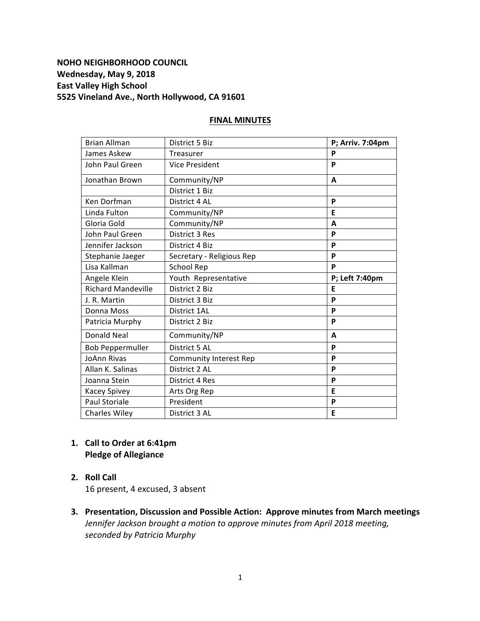# **NOHO NEIGHBORHOOD COUNCIL** Wednesday, May 9, 2018 **East Valley High School 5525 Vineland Ave., North Hollywood, CA 91601**

### **FINAL MINUTES**

| <b>Brian Allman</b>       | District 5 Biz                | P; Arriv. 7:04pm |
|---------------------------|-------------------------------|------------------|
| James Askew               | Treasurer                     | P                |
| John Paul Green           | <b>Vice President</b>         | P                |
| Jonathan Brown            | Community/NP                  | A                |
|                           | District 1 Biz                |                  |
| Ken Dorfman               | District 4 AL                 | P                |
| Linda Fulton              | Community/NP                  | E                |
| Gloria Gold               | Community/NP                  | A                |
| John Paul Green           | <b>District 3 Res</b>         | P                |
| Jennifer Jackson          | District 4 Biz                | P                |
| Stephanie Jaeger          | Secretary - Religious Rep     | P                |
| Lisa Kallman              | <b>School Rep</b>             | P                |
| Angele Klein              | Youth Representative          | P; Left 7:40pm   |
| <b>Richard Mandeville</b> | District 2 Biz                | F                |
| J. R. Martin              | District 3 Biz                | P                |
| Donna Moss                | District 1AL                  | P                |
| Patricia Murphy           | District 2 Biz                | P                |
| <b>Donald Neal</b>        | Community/NP                  | A                |
| <b>Bob Peppermuller</b>   | District 5 AL                 | P                |
| <b>JoAnn Rivas</b>        | <b>Community Interest Rep</b> | P                |
| Allan K. Salinas          | District 2 AL                 | P                |
| Joanna Stein              | District 4 Res                | P                |
| Kacey Spivey              | Arts Org Rep                  | Е                |
| <b>Paul Storiale</b>      | President                     | P                |
| <b>Charles Wiley</b>      | District 3 AL                 | E                |

# 1. **Call to Order at 6:41pm Pledge of Allegiance**

**2. Roll Call**  

16 present, 4 excused, 3 absent

**3. Presentation, Discussion and Possible Action: Approve minutes from March meetings** *Jennifer Jackson brought a motion to approve minutes from April 2018 meeting, seconded by Patricia Murphy*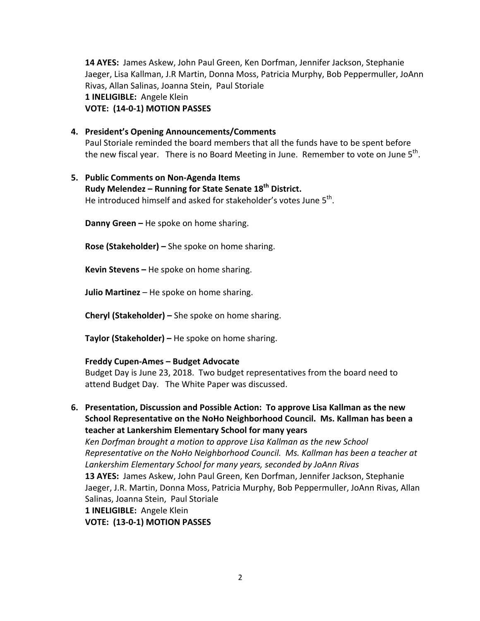**14 AYES:** James Askew, John Paul Green, Ken Dorfman, Jennifer Jackson, Stephanie Jaeger, Lisa Kallman, J.R Martin, Donna Moss, Patricia Murphy, Bob Peppermuller, JoAnn Rivas, Allan Salinas, Joanna Stein, Paul Storiale 1 **INELIGIBLE:** Angele Klein **VOTE: (14-0-1) MOTION PASSES**

**4. President's Opening Announcements/Comments**

Paul Storiale reminded the board members that all the funds have to be spent before the new fiscal year. There is no Board Meeting in June. Remember to vote on June  $5<sup>th</sup>$ .

### **5. Public Comments on Non-Agenda Items**

# **Rudy Melendez – Running for State Senate 18th District.**

He introduced himself and asked for stakeholder's votes June  $5<sup>th</sup>$ .

**Danny Green –** He spoke on home sharing.

**Rose (Stakeholder)** – She spoke on home sharing.

**Kevin Stevens** – He spoke on home sharing.

**Julio Martinez** – He spoke on home sharing.

**Cheryl (Stakeholder)** – She spoke on home sharing.

**Taylor (Stakeholder)** – He spoke on home sharing.

### **Freddy Cupen-Ames – Budget Advocate**

Budget Day is June 23, 2018. Two budget representatives from the board need to attend Budget Day. The White Paper was discussed.

**6.** Presentation, Discussion and Possible Action: To approve Lisa Kallman as the new **School Representative on the NoHo Neighborhood Council. Ms. Kallman has been a teacher at Lankershim Elementary School for many years** Ken Dorfman brought a motion to approve Lisa Kallman as the new School *Representative on the NoHo Neighborhood Council. Ms. Kallman has been a teacher at* Lankershim Elementary School for many years, seconded by JoAnn Rivas **13 AYES:** James Askew, John Paul Green, Ken Dorfman, Jennifer Jackson, Stephanie Jaeger, J.R. Martin, Donna Moss, Patricia Murphy, Bob Peppermuller, JoAnn Rivas, Allan Salinas, Joanna Stein, Paul Storiale 1 **INELIGIBLE:** Angele Klein **VOTE: (13-0-1) MOTION PASSES**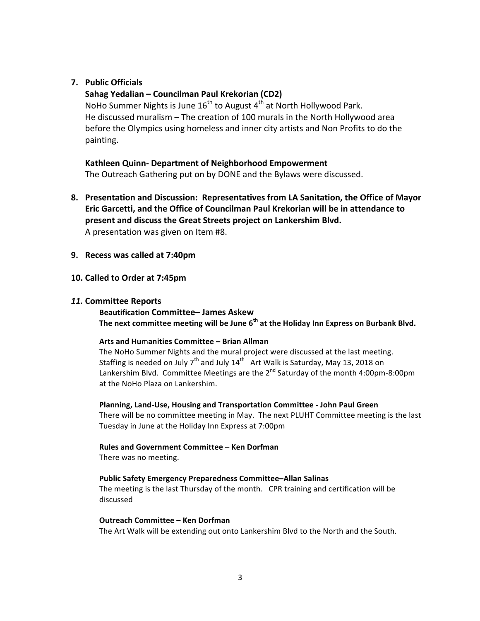### **7. Public Officials**

### **Sahag Yedalian – Councilman Paul Krekorian (CD2)**

NoHo Summer Nights is June  $16^{th}$  to August  $4^{th}$  at North Hollywood Park. He discussed muralism  $-$  The creation of 100 murals in the North Hollywood area before the Olympics using homeless and inner city artists and Non Profits to do the painting.

#### **Kathleen Quinn- Department of Neighborhood Empowerment**

The Outreach Gathering put on by DONE and the Bylaws were discussed.

- **8. Presentation and Discussion: Representatives from LA Sanitation, the Office of Mayor**  Eric Garcetti, and the Office of Councilman Paul Krekorian will be in attendance to present and discuss the Great Streets project on Lankershim Blvd. A presentation was given on Item #8.
- **9. Recess was called at 7:40pm**

#### **10. Called to Order at 7:45pm**

#### *11.* **Committee Reports**

### **Beautification Committee– James Askew**

The next committee meeting will be June 6<sup>th</sup> at the Holiday Inn Express on Burbank Blvd.

#### **Arts and Hu**m**anities Committee – Brian Allman**

The NoHo Summer Nights and the mural project were discussed at the last meeting. Staffing is needed on July  $7<sup>th</sup>$  and July  $14<sup>th</sup>$  Art Walk is Saturday, May 13, 2018 on Lankershim Blvd. Committee Meetings are the 2<sup>nd</sup> Saturday of the month 4:00pm-8:00pm at the NoHo Plaza on Lankershim.

#### **Planning, Land-Use, Housing and Transportation Committee - John Paul Green**

There will be no committee meeting in May. The next PLUHT Committee meeting is the last Tuesday in June at the Holiday Inn Express at 7:00pm

#### **Rules and Government Committee – Ken Dorfman**

There was no meeting.

#### **Public Safety Emergency Preparedness Committee–Allan Salinas**

The meeting is the last Thursday of the month. CPR training and certification will be discussed

#### **Outreach Committee – Ken Dorfman**

The Art Walk will be extending out onto Lankershim Blvd to the North and the South.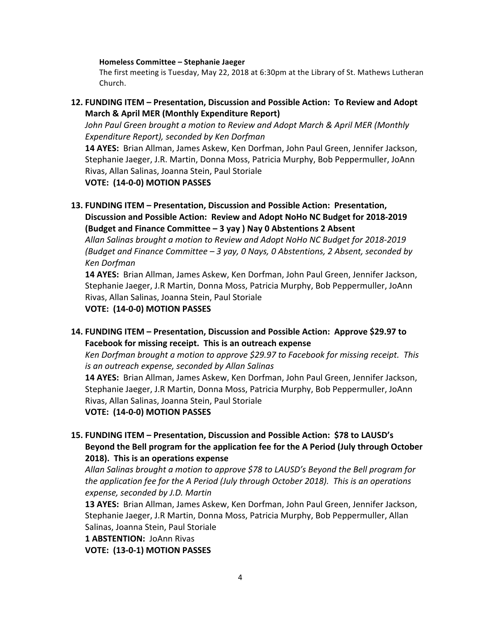#### **Homeless Committee – Stephanie Jaeger**

The first meeting is Tuesday, May 22, 2018 at 6:30pm at the Library of St. Mathews Lutheran Church. 

### **12. FUNDING ITEM** – Presentation, Discussion and Possible Action: To Review and Adopt **March & April MER (Monthly Expenditure Report)**

*John Paul Green brought a motion to Review and Adopt March & April MER (Monthly Expenditure Report), seconded by Ken Dorfman*

**14 AYES:** Brian Allman, James Askew, Ken Dorfman, John Paul Green, Jennifer Jackson, Stephanie Jaeger, J.R. Martin, Donna Moss, Patricia Murphy, Bob Peppermuller, JoAnn Rivas, Allan Salinas, Joanna Stein, Paul Storiale

**VOTE: (14-0-0) MOTION PASSES**

**13. FUNDING ITEM** – Presentation, Discussion and Possible Action: Presentation, **Discussion and Possible Action: Review and Adopt NoHo NC Budget for 2018-2019 (Budget and Finance Committee – 3 yay ) Nay 0 Abstentions 2 Absent** 

Allan Salinas brought a motion to Review and Adopt NoHo NC Budget for 2018-2019 *(Budget and Finance Committee – 3 yay, 0 Nays, 0 Abstentions, 2 Absent, seconded by Ken Dorfman*

**14 AYES:** Brian Allman, James Askew, Ken Dorfman, John Paul Green, Jennifer Jackson, Stephanie Jaeger, J.R Martin, Donna Moss, Patricia Murphy, Bob Peppermuller, JoAnn Rivas, Allan Salinas, Joanna Stein, Paul Storiale

**VOTE: (14-0-0) MOTION PASSES**

# 14. **FUNDING ITEM** – Presentation, Discussion and Possible Action: Approve \$29.97 to Facebook for missing receipt. This is an outreach expense

Ken Dorfman brought a motion to approve \$29.97 to Facebook for missing receipt. This *is an outreach expense, seconded by Allan Salinas* 

**14 AYES:** Brian Allman, James Askew, Ken Dorfman, John Paul Green, Jennifer Jackson, Stephanie Jaeger, J.R Martin, Donna Moss, Patricia Murphy, Bob Peppermuller, JoAnn Rivas, Allan Salinas, Joanna Stein, Paul Storiale

**VOTE: (14-0-0) MOTION PASSES**

# 15. FUNDING ITEM - Presentation, Discussion and Possible Action: \$78 to LAUSD's Beyond the Bell program for the application fee for the A Period (July through October **2018**). This is an operations expense

Allan Salinas brought a motion to approve \$78 to LAUSD's Beyond the Bell program for *the application fee for the A Period (July through October 2018). This is an operations expense, seconded by J.D. Martin*

13 AYES: Brian Allman, James Askew, Ken Dorfman, John Paul Green, Jennifer Jackson, Stephanie Jaeger, J.R Martin, Donna Moss, Patricia Murphy, Bob Peppermuller, Allan Salinas, Joanna Stein, Paul Storiale

1 **ABSTENTION: JoAnn Rivas** 

**VOTE: (13-0-1) MOTION PASSES**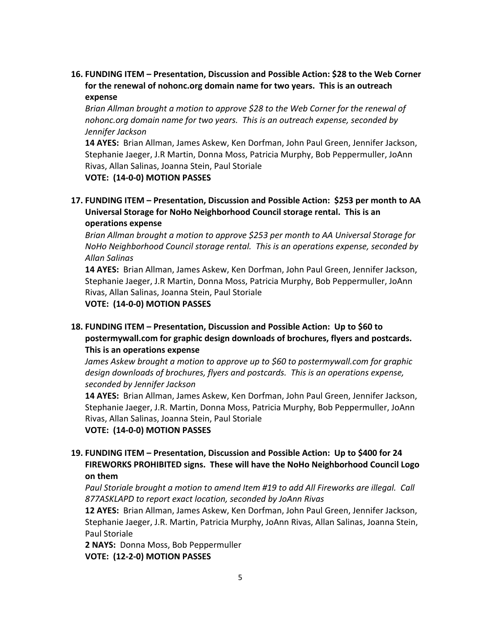**16. FUNDING ITEM – Presentation, Discussion and Possible Action: \$28 to the Web Corner**  for the renewal of nohonc.org domain name for two years. This is an outreach **expense**

*Brian Allman brought a motion to approve* \$28 to the Web Corner for the renewal of *nohonc.org* domain name for two years. This is an outreach expense, seconded by *Jennifer Jackson*

**14 AYES:** Brian Allman, James Askew, Ken Dorfman, John Paul Green, Jennifer Jackson, Stephanie Jaeger, J.R Martin, Donna Moss, Patricia Murphy, Bob Peppermuller, JoAnn Rivas, Allan Salinas, Joanna Stein, Paul Storiale

**VOTE: (14-0-0) MOTION PASSES**

# **17. FUNDING ITEM – Presentation, Discussion and Possible Action: \$253 per month to AA** Universal Storage for NoHo Neighborhood Council storage rental. This is an **operations expense**

*Brian Allman brought a motion to approve \$253 per month to AA Universal Storage for NoHo Neighborhood Council storage rental. This is an operations expense, seconded by Allan Salinas*

**14 AYES:** Brian Allman, James Askew, Ken Dorfman, John Paul Green, Jennifer Jackson, Stephanie Jaeger, J.R Martin, Donna Moss, Patricia Murphy, Bob Peppermuller, JoAnn Rivas, Allan Salinas, Joanna Stein, Paul Storiale

**VOTE: (14-0-0) MOTION PASSES**

# **18. FUNDING ITEM – Presentation, Discussion and Possible Action: Up to \$60 to postermywall.com for graphic design downloads of brochures, flyers and postcards. This is an operations expense**

*James Askew brought a motion to approve up to \$60 to postermywall.com for graphic* design downloads of brochures, flyers and postcards. This is an operations expense, *seconded by Jennifer Jackson*

**14 AYES:** Brian Allman, James Askew, Ken Dorfman, John Paul Green, Jennifer Jackson, Stephanie Jaeger, J.R. Martin, Donna Moss, Patricia Murphy, Bob Peppermuller, JoAnn Rivas, Allan Salinas, Joanna Stein, Paul Storiale

**VOTE: (14-0-0) MOTION PASSES**

# **19. FUNDING ITEM** – Presentation, Discussion and Possible Action: Up to \$400 for 24 **FIREWORKS PROHIBITED signs. These will have the NoHo Neighborhood Council Logo on them**

Paul Storiale brought a motion to amend Item #19 to add All Fireworks are illegal. Call *877ASKLAPD to report exact location, seconded by JoAnn Rivas*

**12 AYES:** Brian Allman, James Askew, Ken Dorfman, John Paul Green, Jennifer Jackson, Stephanie Jaeger, J.R. Martin, Patricia Murphy, JoAnn Rivas, Allan Salinas, Joanna Stein, Paul Storiale

**2 NAYS: Donna Moss, Bob Peppermuller VOTE: (12-2-0) MOTION PASSES**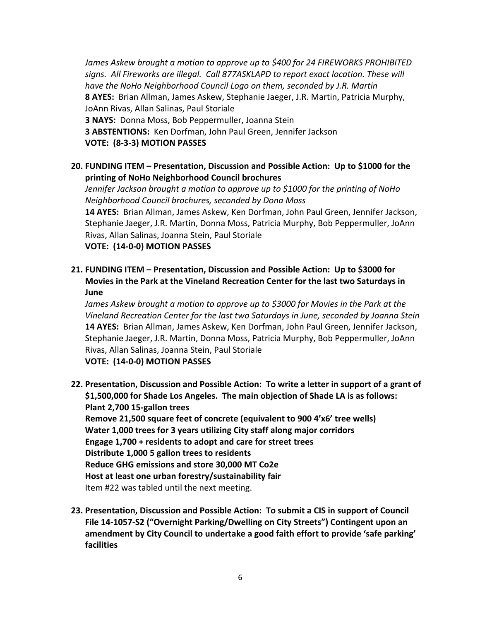*James Askew brought a motion to approve up to \$400 for 24 FIREWORKS PROHIBITED* signs. All Fireworks are illegal. Call 877ASKLAPD to report exact location. These will have the NoHo Neighborhood Council Logo on them, seconded by J.R. Martin **8 AYES:** Brian Allman, James Askew, Stephanie Jaeger, J.R. Martin, Patricia Murphy, JoAnn Rivas, Allan Salinas, Paul Storiale **3 NAYS:** Donna Moss, Bob Peppermuller, Joanna Stein **3 ABSTENTIONS:** Ken Dorfman, John Paul Green, Jennifer Jackson **VOTE: (8-3-3) MOTION PASSES**

**20. FUNDING ITEM** – Presentation, Discussion and Possible Action: Up to \$1000 for the **printing of NoHo Neighborhood Council brochures**

*Jennifer Jackson brought a motion to approve up to \$1000 for the printing of NoHo Neighborhood Council brochures, seconded by Dona Moss* **14 AYES:** Brian Allman, James Askew, Ken Dorfman, John Paul Green, Jennifer Jackson, Stephanie Jaeger, J.R. Martin, Donna Moss, Patricia Murphy, Bob Peppermuller, JoAnn Rivas, Allan Salinas, Joanna Stein, Paul Storiale **VOTE: (14-0-0) MOTION PASSES**

**21. FUNDING ITEM – Presentation, Discussion and Possible Action: Up to \$3000 for** Movies in the Park at the Vineland Recreation Center for the last two Saturdays in **June**

*James Askew brought a motion to approve up to \$3000 for Movies in the Park at the Vineland Recreation Center for the last two Saturdays in June, seconded by Joanna Stein* **14 AYES:** Brian Allman, James Askew, Ken Dorfman, John Paul Green, Jennifer Jackson, Stephanie Jaeger, J.R. Martin, Donna Moss, Patricia Murphy, Bob Peppermuller, JoAnn Rivas, Allan Salinas, Joanna Stein, Paul Storiale **VOTE: (14-0-0) MOTION PASSES**

- **22. Presentation, Discussion and Possible Action: To write a letter in support of a grant of** \$1,500,000 for Shade Los Angeles. The main objection of Shade LA is as follows: **Plant 2,700 15-gallon trees** Remove 21,500 square feet of concrete (equivalent to 900 4'x6' tree wells) **Water 1,000 trees for 3 years utilizing City staff along major corridors Engage 1,700 + residents to adopt and care for street trees Distribute 1,000 5 gallon trees to residents Reduce GHG emissions and store 30,000 MT Co2e** Host at least one urban forestry/sustainability fair Item #22 was tabled until the next meeting.
- **23. Presentation, Discussion and Possible Action: To submit a CIS in support of Council** File 14-1057-S2 ("Overnight Parking/Dwelling on City Streets") Contingent upon an amendment by City Council to undertake a good faith effort to provide 'safe parking' **facilities**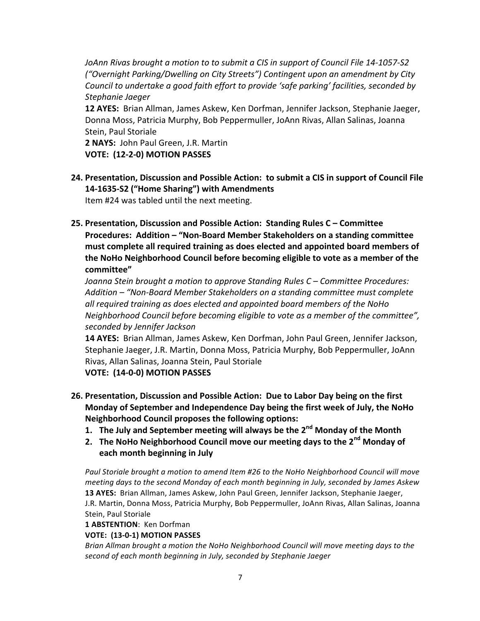JoAnn Rivas brought a motion to to submit a CIS in support of Council File 14-1057-S2 *("Overnight Parking/Dwelling on City Streets")* Contingent upon an amendment by City *Council to undertake a good faith effort to provide 'safe parking' facilities, seconded by Stephanie Jaeger*

**12 AYES:** Brian Allman, James Askew, Ken Dorfman, Jennifer Jackson, Stephanie Jaeger, Donna Moss, Patricia Murphy, Bob Peppermuller, JoAnn Rivas, Allan Salinas, Joanna Stein, Paul Storiale

**2 NAYS:** John Paul Green, J.R. Martin **VOTE: (12-2-0) MOTION PASSES**

**24. Presentation, Discussion and Possible Action: to submit a CIS in support of Council File 14-1635-S2 ("Home Sharing") with Amendments**

Item #24 was tabled until the next meeting.

**25. Presentation, Discussion and Possible Action: Standing Rules C – Committee Procedures: Addition – "Non-Board Member Stakeholders on a standing committee** must complete all required training as does elected and appointed board members of the NoHo Neighborhood Council before becoming eligible to vote as a member of the **committee"**

*Joanna Stein brought a motion to approve Standing Rules C – Committee Procedures:* Addition – "Non-Board Member Stakeholders on a standing committee must complete *all required training as does elected and appointed board members of the NoHo Neighborhood Council before becoming eligible to vote as a member of the committee", seconded by Jennifer Jackson*

**14 AYES:** Brian Allman, James Askew, Ken Dorfman, John Paul Green, Jennifer Jackson, Stephanie Jaeger, J.R. Martin, Donna Moss, Patricia Murphy, Bob Peppermuller, JoAnn Rivas, Allan Salinas, Joanna Stein, Paul Storiale

**VOTE: (14-0-0) MOTION PASSES**

- **26. Presentation, Discussion and Possible Action: Due to Labor Day being on the first Monday of September and Independence Day being the first week of July, the NoHo Neighborhood Council proposes the following options:** 
	- **1.** The July and September meeting will always be the 2<sup>nd</sup> Monday of the Month
	- **2.** The NoHo Neighborhood Council move our meeting days to the 2<sup>nd</sup> Monday of **each month beginning in July**

*Paul Storiale brought a motion to amend Item #26 to the NoHo Neighborhood Council will move meeting days to the second Monday of each month beginning in July, seconded by James Askew* 13 AYES: Brian Allman, James Askew, John Paul Green, Jennifer Jackson, Stephanie Jaeger, J.R. Martin, Donna Moss, Patricia Murphy, Bob Peppermuller, JoAnn Rivas, Allan Salinas, Joanna Stein, Paul Storiale

1 **ABSTENTION**: Ken Dorfman

**VOTE: (13-0-1) MOTION PASSES**

*Brian Allman brought a motion the NoHo Neighborhood Council will move meeting days to the* second of each month beginning in July, seconded by Stephanie Jaeger